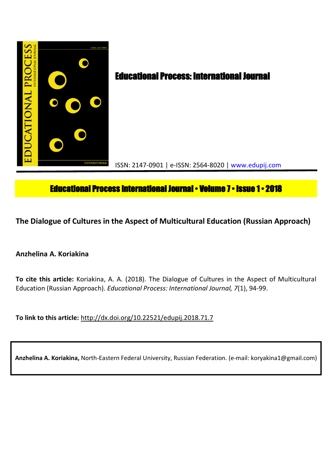

# **Educational Process International Journal • Volume 7 • Issue 1 • 2018**

**The Dialogue of Cultures in the Aspect of Multicultural Education (Russian Approach)**

**Anzhelina A. Koriakina**

**To cite this article:** Koriakina, A. A. (2018). The Dialogue of Cultures in the Aspect of Multicultural Education (Russian Approach). *Educational Process: International Journal, 7*(1), 94-99.

**To link to this article:** http://dx.doi.org/10.22521/edupij.2018.71.7

**Anzhelina A. Koriakina,** North-Eastern Federal University, Russian Federation. (e-mail: koryakina1@gmail.com)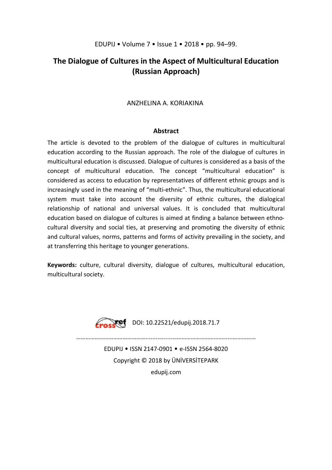# **The Dialogue of Cultures in the Aspect of Multicultural Education (Russian Approach)**

# ANZHELINA A. KORIAKINA

## **Abstract**

The article is devoted to the problem of the dialogue of cultures in multicultural education according to the Russian approach. The role of the dialogue of cultures in multicultural education is discussed. Dialogue of cultures is considered as a basis of the concept of multicultural education. The concept "multicultural education" is considered as access to education by representatives of different ethnic groups and is increasingly used in the meaning of "multi-ethnic". Thus, the multicultural educational system must take into account the diversity of ethnic cultures, the dialogical relationship of national and universal values. It is concluded that multicultural education based on dialogue of cultures is aimed at finding a balance between ethnocultural diversity and social ties, at preserving and promoting the diversity of ethnic and cultural values, norms, patterns and forms of activity prevailing in the society, and at transferring this heritage to younger generations.

**Keywords:** culture, cultural diversity, dialogue of cultures, multicultural education, multicultural society.



Cross<sup>(e)</sup> DOI: 10.22521/edupij.2018.71.7

………………………………………........….....………………………………...……………

EDUPIJ • ISSN 2147-0901 • e-ISSN 2564-8020 Copyright © 2018 by ÜNİVERSİTEPARK edupij.com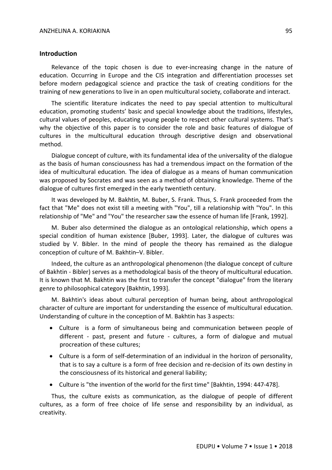#### **Introduction**

Relevance of the topic chosen is due to ever-increasing change in the nature of education. Occurring in Europe and the CIS integration and differentiation processes set before modern pedagogical science and practice the task of creating conditions for the training of new generations to live in an open multicultural society, collaborate and interact.

The scientific literature indicates the need to pay special attention to multicultural education, promoting students' basic and special knowledge about the traditions, lifestyles, cultural values of peoples, educating young people to respect other cultural systems. That's why the objective of this paper is to consider the role and basic features of dialogue of cultures in the multicultural education through descriptive design and observational method.

Dialogue concept of culture, with its fundamental idea of the universality of the dialogue as the basis of human consciousness has had a tremendous impact on the formation of the idea of multicultural education. The idea of dialogue as a means of human communication was proposed by Socrates and was seen as a method of obtaining knowledge. Theme of the dialogue of cultures first emerged in the early twentieth century.

It was developed by M. Bakhtin, M. Buber, S. Frank. Thus, S. Frank proceeded from the fact that "Me" does not exist till a meeting with "You", till a relationship with "You". In this relationship of "Me" and "You" the researcher saw the essence of human life [Frank, 1992].

M. Buber also determined the dialogue as an ontological relationship, which opens a special condition of human existence [Buber, 1993]. Later, the dialogue of cultures was studied by V. Bibler. In the mind of people the theory has remained as the dialogue conception of culture of M. Bakhtin–V. Bibler.

Indeed, the culture as an anthropological phenomenon (the dialogue concept of culture of Bakhtin - Bibler) serves as a methodological basis of the theory of multicultural education. It is known that M. Bakhtin was the first to transfer the concept "dialogue" from the literary genre to philosophical category [Bakhtin, 1993].

M. Bakhtin's ideas about cultural perception of human being, about anthropological character of culture are important for understanding the essence of multicultural education. Understanding of culture in the conception of M. Bakhtin has 3 aspects:

- Culture is a form of simultaneous being and communication between people of different - past, present and future - cultures, a form of dialogue and mutual procreation of these cultures;
- Culture is a form of self-determination of an individual in the horizon of personality, that is to say a culture is a form of free decision and re-decision of its own destiny in the consciousness of its historical and general liability;
- Culture is "the invention of the world for the first time" [Bakhtin, 1994: 447-478].

Thus, the culture exists as communication, as the dialogue of people of different cultures, as a form of free choice of life sense and responsibility by an individual, as creativity.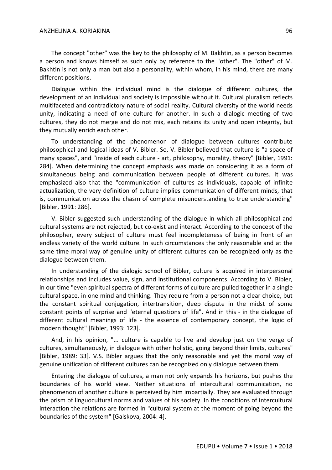#### ANZHELINA A. KORIAKINA 96

The concept "other" was the key to the philosophy of M. Bakhtin, as a person becomes a person and knows himself as such only by reference to the "other". The "other" of M. Bakhtin is not only a man but also a personality, within whom, in his mind, there are many different positions.

Dialogue within the individual mind is the dialogue of different cultures, the development of an individual and society is impossible without it. Cultural pluralism reflects multifaceted and contradictory nature of social reality. Cultural diversity of the world needs unity, indicating a need of one culture for another. In such a dialogic meeting of two cultures, they do not merge and do not mix, each retains its unity and open integrity, but they mutually enrich each other.

To understanding of the phenomenon of dialogue between cultures contribute philosophical and logical ideas of V. Bibler. So, V. Bibler believed that culture is "a space of many spaces", and "inside of each culture - art, philosophy, morality, theory" [Bibler, 1991: 284]. When determining the concept emphasis was made on considering it as a form of simultaneous being and communication between people of different cultures. It was emphasized also that the "communication of cultures as individuals, capable of infinite actualization, the very definition of culture implies communication of different minds, that is, communication across the chasm of complete misunderstanding to true understanding" [Bibler, 1991: 286].

V. Bibler suggested such understanding of the dialogue in which all philosophical and cultural systems are not rejected, but co-exist and interact. According to the concept of the philosopher, every subject of culture must feel incompleteness of being in front of an endless variety of the world culture. In such circumstances the only reasonable and at the same time moral way of genuine unity of different cultures can be recognized only as the dialogue between them.

In understanding of the dialogic school of Bibler, culture is acquired in interpersonal relationships and includes value, sign, and institutional components. According to V. Bibler, in our time "even spiritual spectra of different forms of culture are pulled together in a single cultural space, in one mind and thinking. They require from a person not a clear choice, but the constant spiritual conjugation, intertransition, deep dispute in the midst of some constant points of surprise and "eternal questions of life". And in this - in the dialogue of different cultural meanings of life - the essence of contemporary concept, the logic of modern thought" [Bibler, 1993: 123].

And, in his opinion, "... culture is capable to live and develop just on the verge of cultures, simultaneously, in dialogue with other holistic, going beyond their limits, cultures" [Bibler, 1989: 33]. V.S. Bibler argues that the only reasonable and yet the moral way of genuine unification of different cultures can be recognized only dialogue between them.

Entering the dialogue of cultures, a man not only expands his horizons, but pushes the boundaries of his world view. Neither situations of intercultural communication, no phenomenon of another culture is perceived by him impartially. They are evaluated through the prism of linguocultural norms and values of his society. In the conditions of intercultural interaction the relations are formed in "cultural system at the moment of going beyond the boundaries of the system" [Galskova, 2004: 4].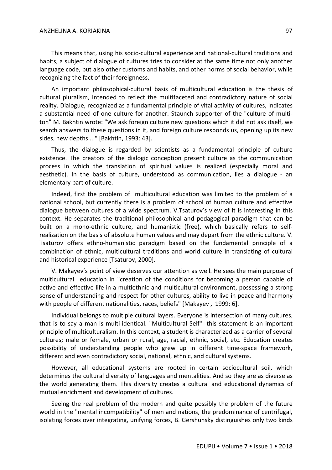#### ANZHELINA A. KORIAKINA 97

This means that, using his socio-cultural experience and national-cultural traditions and habits, a subject of dialogue of cultures tries to consider at the same time not only another language code, but also other customs and habits, and other norms of social behavior, while recognizing the fact of their foreignness.

An important philosophical-cultural basis of multicultural education is the thesis of cultural pluralism, intended to reflect the multifaceted and contradictory nature of social reality. Dialogue, recognized as a fundamental principle of vital activity of cultures, indicates a substantial need of one culture for another. Staunch supporter of the "culture of multiton" M. Bakhtin wrote: "We ask foreign culture new questions which it did not ask itself, we search answers to these questions in it, and foreign culture responds us, opening up its new sides, new depths ..." [Bakhtin, 1993: 43].

Thus, the dialogue is regarded by scientists as a fundamental principle of culture existence. The creators of the dialogic conception present culture as the communication process in which the translation of spiritual values is realized (especially moral and aesthetic). In the basis of culture, understood as communication, lies a dialogue - an elementary part of culture.

Indeed, first the problem of multicultural education was limited to the problem of a national school, but currently there is a problem of school of human culture and effective dialogue between cultures of a wide spectrum. V.Tsaturov's view of it is interesting in this context. He separates the traditional philosophical and pedagogical paradigm that can be built on a mono-ethnic culture, and humanistic (free), which basically refers to selfrealization on the basis of absolute human values and may depart from the ethnic culture. V. Tsaturov offers ethno-humanistic paradigm based on the fundamental principle of a combination of ethnic, multicultural traditions and world culture in translating of cultural and historical experience [Tsaturov, 2000].

V. Makayev's point of view deserves our attention as well. He sees the main purpose of multicultural education in "creation of the conditions for becoming a person capable of active and effective life in a multiethnic and multicultural environment, possessing a strong sense of understanding and respect for other cultures, ability to live in peace and harmony with people of different nationalities, races, beliefs" [Makayev , 1999: 6].

Individual belongs to multiple cultural layers. Everyone is intersection of many cultures, that is to say a man is multi-identical. "Multicultural Self"- this statement is an important principle of multiculturalism. In this context, a student is characterized as a carrier of several cultures; male or female, urban or rural, age, racial, ethnic, social, etc. Education creates possibility of understanding people who grew up in different time-space framework, different and even contradictory social, national, ethnic, and cultural systems.

However, all educational systems are rooted in certain sociocultural soil, which determines the cultural diversity of languages and mentalities. And so they are as diverse as the world generating them. This diversity creates a cultural and educational dynamics of mutual enrichment and development of cultures.

Seeing the real problem of the modern and quite possibly the problem of the future world in the "mental incompatibility" of men and nations, the predominance of centrifugal, isolating forces over integrating, unifying forces, B. Gershunsky distinguishes only two kinds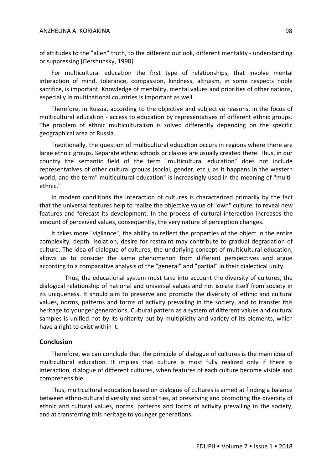#### ANZHELINA A. KORIAKINA 98

of attitudes to the "alien" truth, to the different outlook, different mentality - understanding or suppressing [Gershunsky, 1998].

For multicultural education the first type of relationships, that involve mental interaction of mind, tolerance, compassion, kindness, altruism, in some respects noble sacrifice, is important. Knowledge of mentality, mental values and priorities of other nations, especially in multinational countries is important as well.

Therefore, in Russia, according to the objective and subjective reasons, in the focus of multicultural education - access to education by representatives of different ethnic groups. The problem of ethnic multiculturalism is solved differently depending on the specific geographical area of Russia.

Traditionally, the question of multicultural education occurs in regions where there are large ethnic groups. Separate ethnic schools or classes are usually created there. Thus, in our country the semantic field of the term "multicultural education" does not include representatives of other cultural groups (social, gender, etc.), as it happens in the western world, and the term" multicultural education" is increasingly used in the meaning of "multiethnic."

In modern conditions the interaction of cultures is characterized primarily by the fact that the universal features help to realize the objective value of "own" culture, to reveal new features and forecast its development. In the process of cultural interaction increases the amount of perceived values, consequently, the very nature of perception changes.

It takes more "vigilance", the ability to reflect the properties of the object in the entire complexity, depth. Isolation, desire for restraint may contribute to gradual degradation of culture. The idea of dialogue of cultures, the underlying concept of multicultural education, allows us to consider the same phenomenon from different perspectives and argue according to a comparative analysis of the "general" and "partial" in their dialectical unity.

 Thus, the educational system must take into account the diversity of cultures, the dialogical relationship of national and universal values and not isolate itself from society in its uniqueness. It should aim to preserve and promote the diversity of ethnic and cultural values, norms, patterns and forms of activity prevailing in the society, and to transfer this heritage to younger generations. Cultural pattern as a system of different values and cultural samples is unified not by its unitarity but by multiplicity and variety of its elements, which have a right to exist within it.

#### **Conclusion**

Therefore, we can conclude that the principle of dialogue of cultures is the main idea of multicultural education. It implies that culture is most fully realized only if there is interaction, dialogue of different cultures, when features of each culture become visible and comprehensible.

Thus, multicultural education based on dialogue of cultures is aimed at finding a balance between ethno-cultural diversity and social ties, at preserving and promoting the diversity of ethnic and cultural values, norms, patterns and forms of activity prevailing in the society, and at transferring this heritage to younger generations.